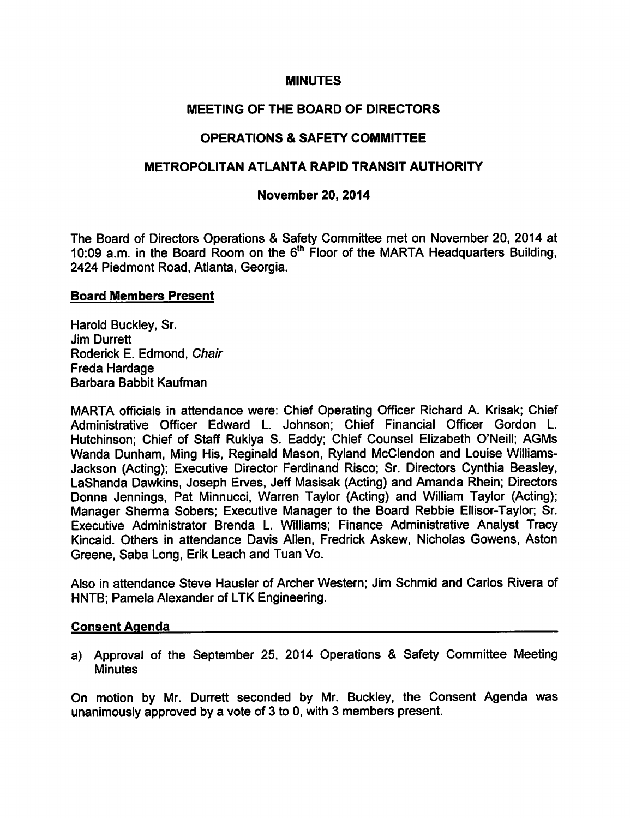#### **MINUTES**

# MEETING OF THE BOARD OF DIRECTORS

# **OPERATIONS & SAFETY COMMITTEE**

### METROPOLITAN ATLANTA RAPID TRANSIT AUTHORITY

#### November 20, 2014

The Board of Directors Operations & Safety Committee met on November 20, 2014 at 10:09 a.m. in the Board Room on the  $6<sup>th</sup>$  Floor of the MARTA Headquarters Building, 2424 Piedmont Road, Atlanta, Georgia.

#### Board Members Present

Harold Buckley, Sr. Jim Durrett Roderick E. Edmond, Chair Freda Hardage Barbara Babbit Kaufman

MARTA officials in attendance were: Chief Operating Officer Richard A. Krisak; Chief Administrative Officer Edward L. Johnson; Chief Financial Officer Gordon L. Hutchinson; Chief of Staff Rukiya S. Eaddy; Chief Counsel Elizabeth O'Neill; AGMs Wanda Dunham, Ming His, Reginald Mason, Ryland McClendon and Louise Williams-Jackson (Acting); Executive Director Ferdinand Risco; Sr. Directors Cynthia Beasley, LaShanda Dawkins, Joseph Erves, Jeff Masisak (Acting) and Amanda Rhein; Directors Donna Jennings, Pat Minnucci, Warren Taylor (Acting) and William Taylor (Acting); Manager Sherma Sobers; Executive Manager to the Board Rebbie Ellisor-Taylor; Sr. Executive Administrator Brenda L. Williams; Finance Administrative Analyst Tracy Kincaid. Others in attendance Davis Allen, Fredrick Askew, Nicholas Gowens, Aston Greene, Saba Long, Erik Leach and Tuan Vo.

Also in attendance Steve Hausler of Archer Western; Jim Schmid and Carlos Rivera of HNTB; Pamela Alexander of LTK Engineering.

#### Consent Agenda

a) Approval of the September 25, 2014 Operations & Safety Committee Meeting **Minutes** 

On motion by Mr. Durrett seconded by Mr. Buckley, the Consent Agenda was unanimously approved by a vote of 3 to 0, with 3 members present.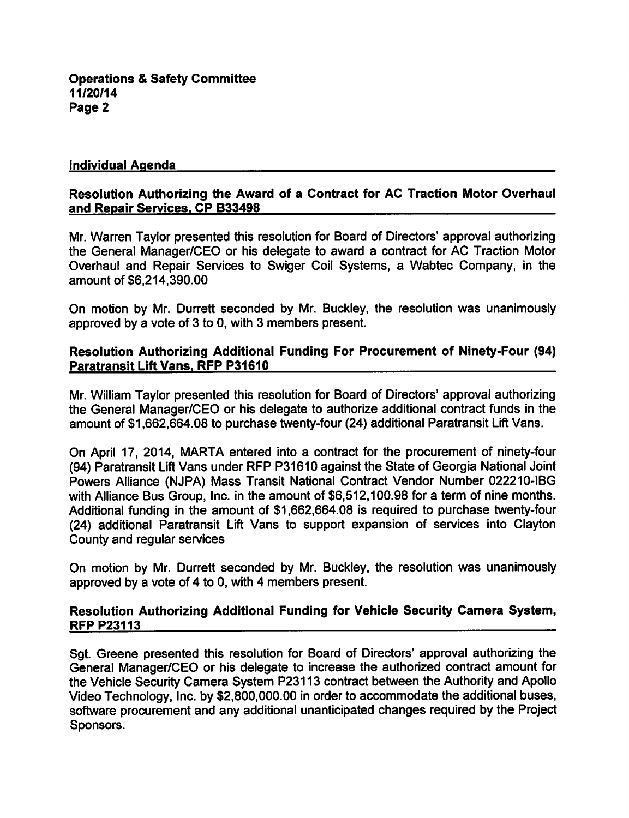#### Individual Agenda

### Resolution Authorizing the Award of a Contract for AC Traction Motor Overhaul and Repair Services. CP B33498

Mr. Warren Taylor presented this resolution for Board of Directors' approval authorizing the General Manager/CEO or his delegate to award a contract for AC Traction Motor Overhaul and Repair Services to Swiger Coil Systems, a Wabtec Company, in the amount of \$6,214,390.00

On motion by Mr. Durrett seconded by Mr. Buckley, the resolution was unanimously approved by a vote of  $3$  to 0, with  $3$  members present.

#### Resolution Authorizing Additional Funding For Procurement of Ninety-Four (94) Paratransit Lift Vans. RFP P31610

Mr. William Taylor presented this resolution for Board of Directors' approval authorizing the General Manager/CEO or his delegate to authorize additional contract funds in the amount of \$1,662,664.08 to purchase twenty-four (24) additional Paratransit Lift Vans.

On April 17, 2014, MARTA entered into a contract for the procurement of ninety-four (94) Paratransit Lift Vans under RFP P31610 against the State of Georgia National Joint Powers Alliance (NJPA) Mass Transit National Contract Vendor Number 022210-IBG with Alliance Bus Group, Inc. in the amount of \$6,512,100.98 for a term of nine months. Additional funding in the amount of \$1,662,664.08 is required to purchase twenty-four (24) additional Paratransit Lift Vans to support expansion of services into Clayton County and regular services

On motion by Mr. Durrett seconded by Mr. Buckley, the resolution was unanimously approved by a vote of 4 to 0, with 4 members present.

## Resolution Authorizing Additional Funding for Vehicle Security Camera System, **RFP P23113**

Sgt. Greene presented this resolution for Board of Directors' approval authorizing the General Manager/CEO or his delegate to increase the authorized contract amount for the Vehicle Security Camera System P23113 contract between the Authority and Apollo Video Technology, Inc. by \$2,800,000.00 in order to accommodate the additional buses, software procurement and any additional unanticipated changes required by the Project Sponsors.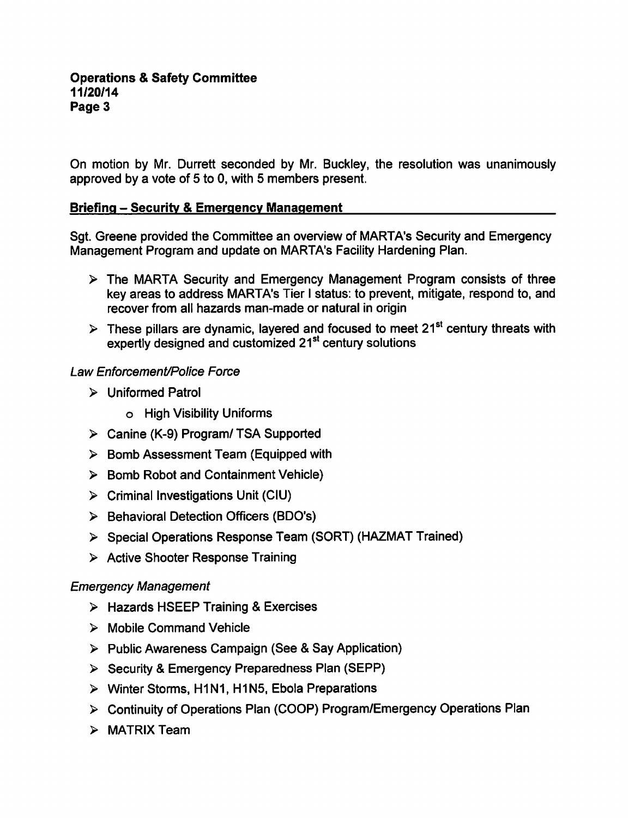On motion by Mr. Durrett seconded by Mr. Buckley, the resolution was unanimously approved by a vote of  $5$  to 0, with  $5$  members present.

# Briefing - Security & Emergency Management

Sgt. Greene provided the Committee an overview of MARTA's Security and Emergency Management Program and update on MARTA's Facility Hardening Plan.

- The MARTA Security and Emergency Management Program consists of three key areas to address MARTA's Tier I status: to prevent, mitigate, respond to, and recover from all hazards man-made or natural in origin
- $\triangleright$  These pillars are dynamic, layered and focused to meet 21<sup>st</sup> century threats with expertly designed and customized 21<sup>st</sup> century solutions

## Law Enforcement/Police Force

- Uniformed Patrol
	- High Visibility Uniforms
- Canine (K-9) Program/ TSA Supported
- $\triangleright$  Bomb Assessment Team (Equipped with
- $\triangleright$  Bomb Robot and Containment Vehicle)
- $\triangleright$  Criminal Investigations Unit (CIU)
- $\triangleright$  Behavioral Detection Officers (BDO's)
- Special Operations Response Team (SORT) (HAZMAT Trained)
- $\triangleright$  Active Shooter Response Training

# Emergency Management

- $\triangleright$  Hazards HSEEP Training & Exercises
- $\triangleright$  Mobile Command Vehicle
- > Public Awareness Campaign (See & Say Application)
- $\triangleright$  Security & Emergency Preparedness Plan (SEPP)
- Winter Storms, H1N1, H1N5, Ebola Preparations
- Continuity of Operations Plan (COOP) Program/Emergency Operations Plan
- $\triangleright$  MATRIX Team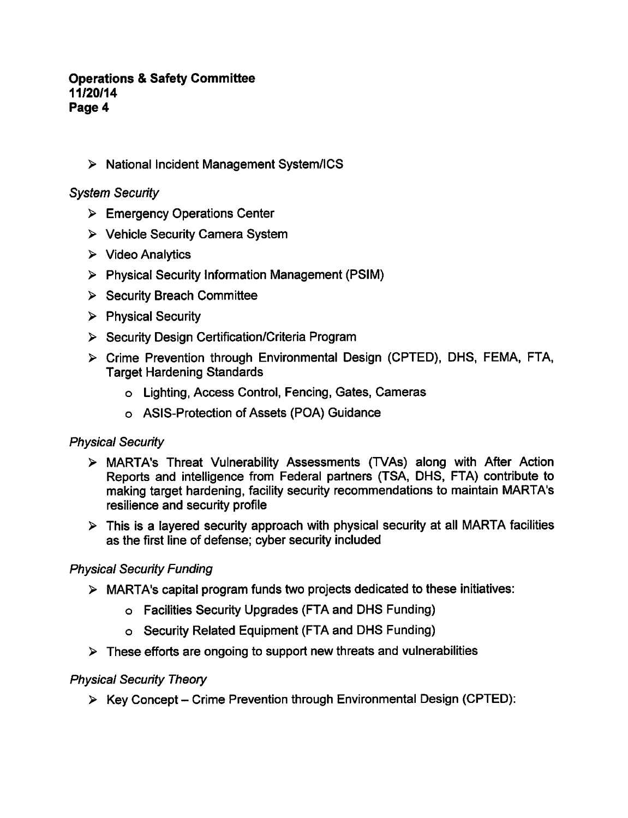#### **Operations & Safety Committee** 11/20/14 Page 4

National Incident Management System/ICS

## System Security

- Emergency Operations Center
- Vehicle Security Camera System
- $\triangleright$  Video Analytics
- Physical Security Information Management (PSIM)
- $\triangleright$  Security Breach Committee
- $\triangleright$  Physical Security
- $\triangleright$  Security Design Certification/Criteria Program
- Crime Prevention through Environmental Design (CPTED), DHS, FEMA, FTA, Target Hardening Standards
	- Lighting, Access Control, Fencing, Gates, Cameras
	- ASIS-Protection of Assets (POA) Guidance

# Physical Security

- MARTA's Threat Vulnerability Assessments (TVAs) along with After Action Reports and intelligence from Federal partners (TSA, DHS, FTA) contribute to making target hardening, facility security recommendations to maintain MARTA's resilience and security profile
- $\triangleright$  This is a layered security approach with physical security at all MARTA facilities as the first line of defense; cyber security included

### Physical Security Funding

- $\triangleright$  MARTA's capital program funds two projects dedicated to these initiatives:
	- Facilities Security Upgrades (FTA and DHS Funding)
	- Security Related Equipment (FTA and DHS Funding)
- $\triangleright$  These efforts are ongoing to support new threats and vulnerabilities

### Physical Security Theory

 $\triangleright$  Key Concept – Crime Prevention through Environmental Design (CPTED):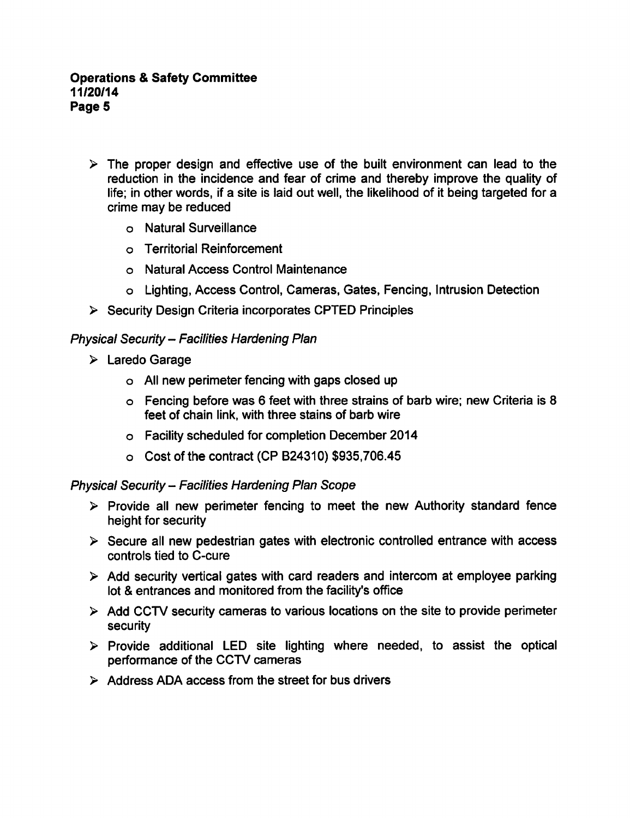- $\triangleright$  The proper design and effective use of the built environment can lead to the reduction in the incidence and fear of crime and thereby improve the quality of life; in other words, if a site is laid out well, the likelihood of it being targeted for a crime may be reduced
	- Natural Surveillance
	- Territorial Reinforcement
	- Natural Access Control Maintenance
	- Lighting, Access Control, Cameras, Gates, Fencing, Intrusion Detection
- $\triangleright$  Security Design Criteria incorporates CPTED Principles

# Physical Security- Facilities Hardening Plan

- Laredo Garage
	- All new perimeter fencing with gaps closed up
	- $\circ$  Fencing before was 6 feet with three strains of barb wire; new Criteria is 8 feet of chain link, with three stains of barb wire
	- Facility scheduled for completion December 2014
	- Cost of the contract (CP B24310) \$935,706.45

# Physical Security – Facilities Hardening Plan Scope

- $\triangleright$  Provide all new perimeter fencing to meet the new Authority standard fence height for security
- $\triangleright$  Secure all new pedestrian gates with electronic controlled entrance with access controls tied to C-cure
- $\triangleright$  Add security vertical gates with card readers and intercom at employee parking lot & entrances and monitored from the facility's office
- $\triangleright$  Add CCTV security cameras to various locations on the site to provide perimeter security
- $\triangleright$  Provide additional LED site lighting where needed, to assist the optical performance of the CCTV cameras
- $\triangleright$  Address ADA access from the street for bus drivers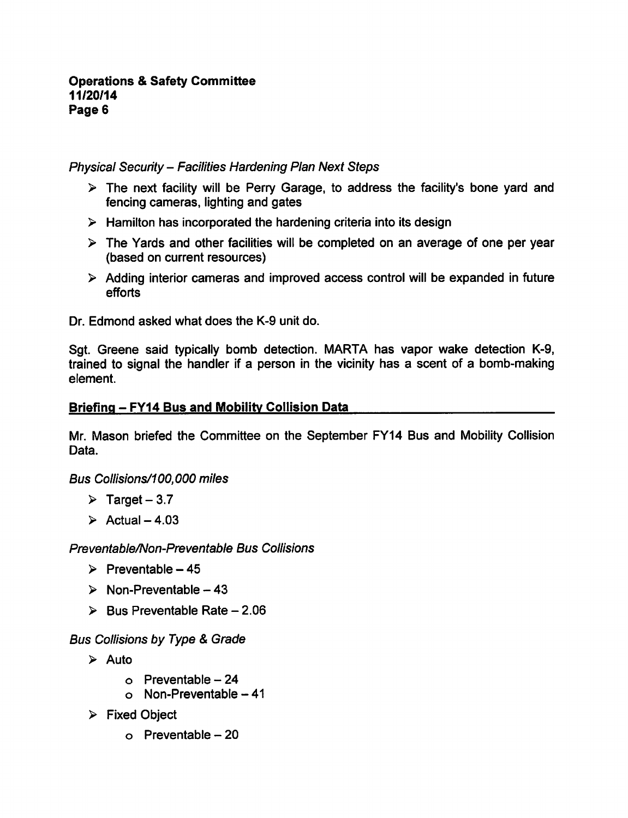## Physical Security - Facilities Hardening Plan Next Steps

- $\triangleright$  The next facility will be Perry Garage, to address the facility's bone vard and fencing cameras, lighting and gates
- $\triangleright$  Hamilton has incorporated the hardening criteria into its design
- $\triangleright$  The Yards and other facilities will be completed on an average of one per year (based on current resources)
- Adding interior cameras and improved access control will be expanded in future efforts

Dr. Edmond asked what does the K-9 unit do.

Sgt. Greene said typically bomb detection. MARTA has vapor wake detection K-9, trained to signal the handler if a person in the vicinity has a scent of a bomb-making element.

#### Briefing - FY14 Bus and Mobility Collision Data

Mr. Mason briefed the Committee on the September FY14 Bus and Mobility Collision Data.

Bus Collisions/100,000 miles

- $\triangleright$  Target 3.7
- $\triangleright$  Actual 4.03

Preventable/Non-Preventable Bus Collisions

- $\triangleright$  Preventable 45
- $\triangleright$  Non-Preventable 43
- $\geq$  Bus Preventable Rate 2.06

**Bus Collisions by Type & Grade** 

- $\triangleright$  Auto
	- $\circ$  Preventable 24
	- $o$  Non-Preventable  $-41$
- $\triangleright$  Fixed Object
	- $\circ$  Preventable 20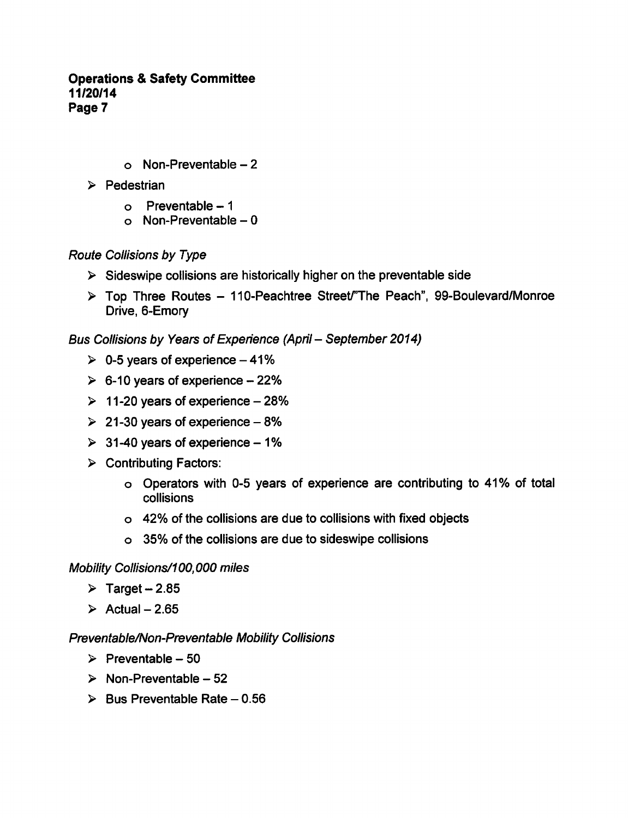### **Operations & Safety Committee** 11/20/14 Page 7

- $o$  Non-Preventable  $-2$
- $\triangleright$  Pedestrian
	- $o$  Preventable  $-1$
	- $o$  Non-Preventable  $-0$

## Route Collisions by Type

- $\triangleright$  Sideswipe collisions are historically higher on the preventable side
- $\triangleright$  Top Three Routes 110-Peachtree Street/"The Peach", 99-Boulevard/Monroe Drive, 6-Emory

Bus Collisions by Years of Experience (April – September 2014)

- $\geq 0.5$  years of experience  $-41\%$
- $\geq 6$ -10 years of experience 22%
- $\geq 11 20$  years of experience  $-28%$
- $\geq 21-30$  years of experience  $-8\%$
- $\geq$  31-40 years of experience 1%
- $\triangleright$  Contributing Factors:
	- Operators with 0-5 years of experience are contributing to 41% of total collisions
	- 42% of the collisions are due to collisions with fixed objects
	- 35% of the collisions are due to sideswipe collisions

#### Mobility Collisions/100,000 miles

- $\triangleright$  Target 2.85
- $\geq$  Actual 2.65

#### Preventable/Non-Preventable Mobility Collisions

- $\triangleright$  Preventable 50
- $\triangleright$  Non-Preventable 52
- $\triangleright$  Bus Preventable Rate 0.56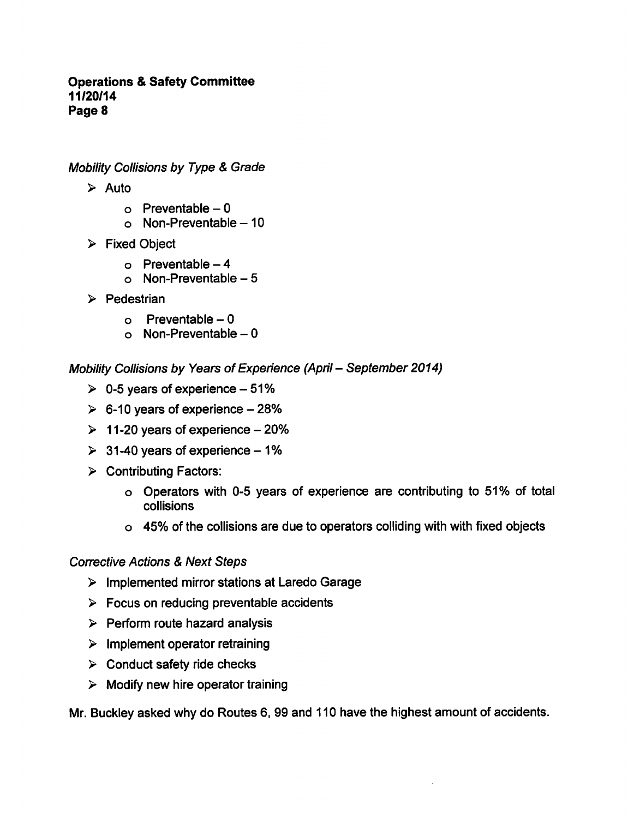#### **Operations & Safety Committee** 11/20/14 Page 8

Mobility Collisions by Type & Grade

- $\triangleright$  Auto
	- $o$  Preventable  $-0$
	- $o$  Non-Preventable  $-10$
- $\triangleright$  Fixed Object
	- $o$  Preventable  $-4$
	- o Non-Preventable  $-5$
- $\triangleright$  Pedestrian
	- $\circ$  Preventable 0
	- $o$  Non-Preventable  $-0$

Mobility Collisions by Years of Experience (April - September 2014)

- $\geq 0.5$  years of experience  $-51\%$
- $\geq 6$ -10 years of experience 28%
- $\geq 11-20$  years of experience 20%
- $\geq$  31-40 years of experience 1%
- $\triangleright$  Contributing Factors:
	- Operators with 0-5 years of experience are contributing to 51% of total collisions
	- 45% of the collisions are due to operators colliding with with fixed objects

#### **Corrective Actions & Next Steps**

- $\triangleright$  Implemented mirror stations at Laredo Garage
- $\triangleright$  Focus on reducing preventable accidents
- $\triangleright$  Perform route hazard analysis
- $\triangleright$  Implement operator retraining
- $\triangleright$  Conduct safety ride checks
- $\triangleright$  Modify new hire operator training

Mr. Buckley asked why do Routes 6, 99 and 110 have the highest amount of accidents.